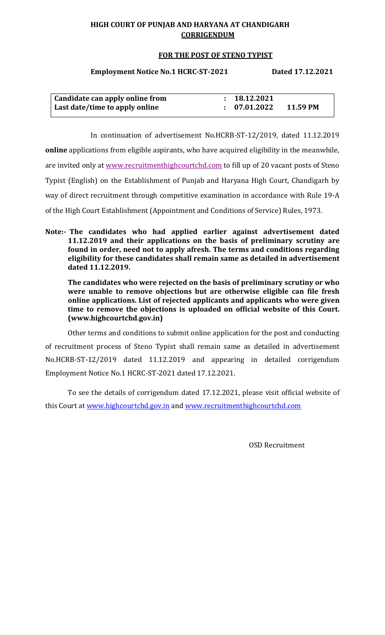# **HIGH COURT OF PUNJAB AND HARYANA AT CHANDIGARH CORRIGENDUM**

## **FOR THE POST OF STENO TYPIST**

## **Employment Notice No.1 HCRC-ST-2021 Dated 17.12.2021**

| Candidate can apply online from | : 18.12.2021 |          |
|---------------------------------|--------------|----------|
| Last date/time to apply online  | : 07.01.2022 | 11.59 PM |

In continuation of advertisement No.HCRB-ST-12/2019, dated 11.12.2019 **online** applications from eligible aspirants, who have acquired eligibility in the meanwhile, are invited only at [www.recruitmenthighcourtchd.com](http://www.recruitmenthighcourtchd.com/) to fill up of 20 vacant posts of Steno Typist (English) on the Establishment of Punjab and Haryana High Court, Chandigarh by [way of direct recruitment through competitive examination in accordance with Rule 19-A](https://haryanajobs.in/punjab-and-haryana-high-court-steno-typist-recruitment-2021-2022-notification-and-apply-online)  of the High Court Establishment (Appointment and Conditions of Service) Rules, 1973.

**Note:- The candidates who had applied earlier against advertisement dated 11.12.2019 and their applications on the basis of preliminary scrutiny are found in order, need not to apply afresh. The terms and conditions regarding eligibility for these candidates shall remain same as detailed in advertisement dated 11.12.2019.**

**The candidates who were rejected on the basis of preliminary scrutiny or who were unable to remove objections but are otherwise eligible can file fresh online applications. List of rejected applicants and applicants who were given time to remove the objections is uploaded on official website of this Court. (www.highcourtchd.gov.in)**

Other terms and conditions to submit online application for the post and conducting of recruitment process of Steno Typist shall remain same as detailed in advertisement No.HCRB-ST-12/2019 dated 11.12.2019 and appearing in detailed corrigendum Employment Notice No.1 HCRC-ST-2021 dated 17.12.2021.

To see the details of corrigendum dated 17.12.2021, please visit official website of this Court at [www.highcourtchd.gov.in](http://www.highcourtchd.gov.in/) and [www.recruitmenthighcourtchd.com](http://www.recruitmenthighcourtchd.com/)

OSD Recruitment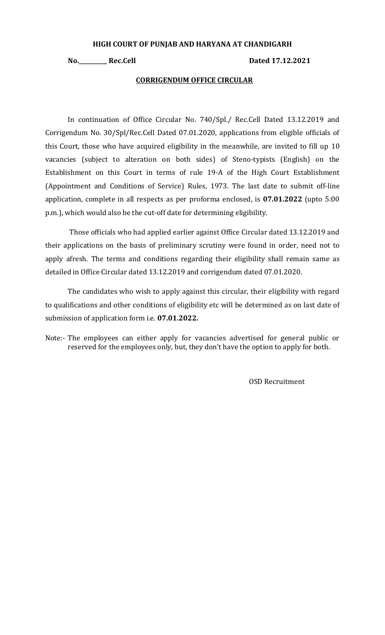#### **HIGH COURT OF PUNJAB AND HARYANA AT CHANDIGARH**

**No.\_\_\_\_\_\_\_\_\_\_ Rec.Cell Dated 17.12.2021**

#### **CORRIGENDUM OFFICE CIRCULAR**

In continuation of Office Circular No. 740/Spl./ Rec.Cell Dated 13.12.2019 and Corrigendum No. 30/Spl/Rec.Cell Dated 07.01.2020, applications from eligible officials of this Court, those who have acquired eligibility in the meanwhile, are invited to fill up 10 vacancies (subject to alteration on both sides) of Steno-typists (English) on the Establishment on this Court in terms of rule 19-A of the High Court Establishment (Appointment and Conditions of Service) Rules, 1973. The last date to submit off-line application, complete in all respects as per proforma enclosed, is **07.01.2022** (upto 5:00 p.m.), which would also be the cut-off date for determining eligibility.

Those officials who had applied earlier against Office Circular dated 13.12.2019 and their applications on the basis of preliminary scrutiny were found in order, need not to apply afresh. The terms and conditions regarding their eligibility shall remain same as detailed in Office Circular dated 13.12.2019 and corrigendum dated 07.01.2020.

The candidates who wish to apply against this circular, their eligibility with regard to qualifications and other conditions of eligibility etc will be determined as on last date of submission of application form i.e. **07.01.2022.**

Note:- The employees can either apply for vacancies advertised for general public or reserved for the employees only, but, they don't have the option to apply for both.

OSD Recruitment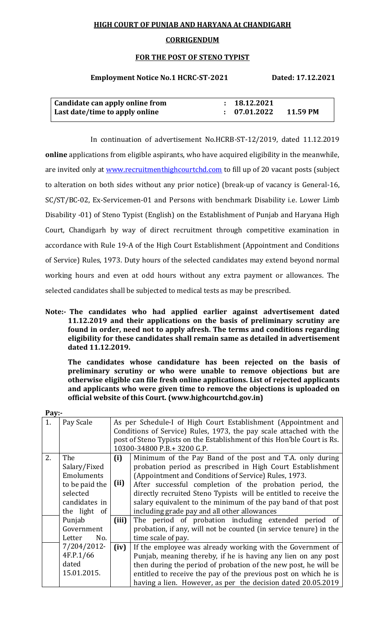## **HIGH COURT OF PUNJAB AND HARYANA At CHANDIGARH**

### **CORRIGENDUM**

## **FOR THE POST OF STENO TYPIST**

# **Employment Notice No.1 HCRC-ST-2021 Dated: 17.12.2021**

| Candidate can apply online from | : 18.12.2021 |          |
|---------------------------------|--------------|----------|
| Last date/time to apply online  | : 07.01.2022 | 11.59 PM |

In continuation of advertisement No.HCRB-ST-12/2019, dated 11.12.2019 **online** applications from eligible aspirants, who have acquired eligibility in the meanwhile, are invited only at [www.recruitmenthighcourtchd.com](http://www.recruitmenthighcourtchd.com/) to fill up of 20 vacant posts (subject to alteration on both sides without any prior notice) (break-up of vacancy is General-16, SC/ST/BC-02, Ex-Servicemen-01 and Persons with benchmark Disability i.e. Lower Limb Disability -01) of Steno Typist (English) on the Establishment of Punjab and Haryana High Court, Chandigarh by way of direct recruitment through competitive examination in accordance with Rule 19-A of the High Court Establishment (Appointment and Conditions of Service) Rules, 1973. Duty hours of the selected candidates may extend beyond normal working hours and even at odd hours without any extra payment or allowances. The selected candidates shall be subjected to medical tests as may be prescribed.

**Note:- The candidates who had applied earlier against advertisement dated 11.12.2019 and their applications on the basis of preliminary scrutiny are found in order, need not to apply afresh. The terms and conditions regarding eligibility for these candidates shall remain same as detailed in advertisement dated 11.12.2019.**

**The candidates whose candidature has been rejected on the basis of preliminary scrutiny or who were unable to remove objections but are otherwise eligible can file fresh online applications. List of rejected applicants and applicants who were given time to remove the objections is uploaded on official website of this Court. (www.highcourtchd.gov.in)**

| 1. | Pay Scale      | As per Schedule-I of High Court Establishment (Appointment and<br>Conditions of Service) Rules, 1973, the pay scale attached with the |                                                                         |  |  |
|----|----------------|---------------------------------------------------------------------------------------------------------------------------------------|-------------------------------------------------------------------------|--|--|
|    |                |                                                                                                                                       | post of Steno Typists on the Establishment of this Hon'ble Court is Rs. |  |  |
|    |                |                                                                                                                                       | 10300-34800 P.B.+ 3200 G.P.                                             |  |  |
| 2. | The            | (i)                                                                                                                                   | Minimum of the Pay Band of the post and T.A. only during                |  |  |
|    | Salary/Fixed   |                                                                                                                                       | probation period as prescribed in High Court Establishment              |  |  |
|    | Emoluments     |                                                                                                                                       | (Appointment and Conditions of Service) Rules, 1973.                    |  |  |
|    | to be paid the | (ii)                                                                                                                                  | After successful completion of the probation period, the                |  |  |
|    | selected       |                                                                                                                                       | directly recruited Steno Typists will be entitled to receive the        |  |  |
|    | candidates in  |                                                                                                                                       | salary equivalent to the minimum of the pay band of that post           |  |  |
|    | the light of   |                                                                                                                                       | including grade pay and all other allowances                            |  |  |
|    | Punjab         | (iii)                                                                                                                                 | The period of probation including extended period of                    |  |  |
|    | Government     |                                                                                                                                       | probation, if any, will not be counted (in service tenure) in the       |  |  |
|    | No.<br>Letter  |                                                                                                                                       | time scale of pay.                                                      |  |  |
|    | 7/204/2012-    | (iv)                                                                                                                                  | If the employee was already working with the Government of              |  |  |
|    | 4F.P.1/66      |                                                                                                                                       | Punjab, meaning thereby, if he is having any lien on any post           |  |  |
|    | dated          |                                                                                                                                       | then during the period of probation of the new post, he will be         |  |  |
|    | 15.01.2015.    |                                                                                                                                       | entitled to receive the pay of the previous post on which he is         |  |  |
|    |                |                                                                                                                                       | having a lien. However, as per the decision dated 20.05.2019            |  |  |

**Pay:-**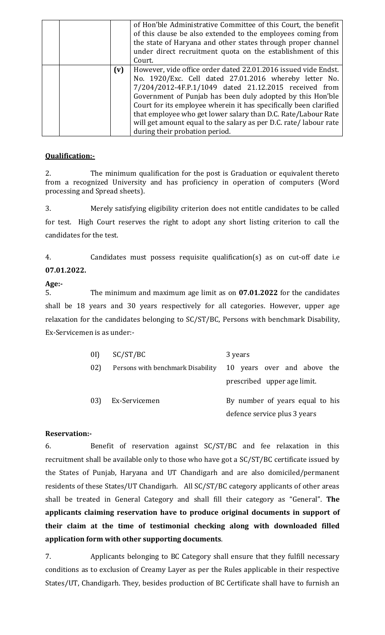|     | of Hon'ble Administrative Committee of this Court, the benefit<br>of this clause be also extended to the employees coming from<br>the state of Haryana and other states through proper channel<br>under direct recruitment quota on the establishment of this<br>Court.                                                                                                                                                                                                                     |
|-----|---------------------------------------------------------------------------------------------------------------------------------------------------------------------------------------------------------------------------------------------------------------------------------------------------------------------------------------------------------------------------------------------------------------------------------------------------------------------------------------------|
| (v) | However, vide office order dated 22.01.2016 issued vide Endst.<br>No. 1920/Exc. Cell dated 27.01.2016 whereby letter No.<br>7/204/2012-4F.P.1/1049 dated 21.12.2015 received from<br>Government of Punjab has been duly adopted by this Hon'ble<br>Court for its employee wherein it has specifically been clarified<br>that employee who get lower salary than D.C. Rate/Labour Rate<br>will get amount equal to the salary as per D.C. rate/labour rate<br>during their probation period. |

## **Qualification:-**

2. The minimum qualification for the post is Graduation or equivalent thereto from a recognized University and has proficiency in operation of computers (Word processing and Spread sheets).

3. Merely satisfying eligibility criterion does not entitle candidates to be called for test. High Court reserves the right to adopt any short listing criterion to call the candidates for the test.

4. Candidates must possess requisite qualification(s) as on cut-off date i.e **07.01.2022.**

# **Age:-**

5. The minimum and maximum age limit as on **07.01.2022** for the candidates shall be 18 years and 30 years respectively for all categories. However, upper age relaxation for the candidates belonging to SC/ST/BC, Persons with benchmark Disability, Ex-Servicemen is as under:-

| 0I  | SC/ST/BC                          | 3 years                         |
|-----|-----------------------------------|---------------------------------|
| 02) | Persons with benchmark Disability | 10 years over and above the     |
|     |                                   | prescribed upper age limit.     |
| 03) | Ex-Servicemen                     | By number of years equal to his |
|     |                                   | defence service plus 3 years    |

# **Reservation:-**

6. Benefit of reservation against SC/ST/BC and fee relaxation in this recruitment shall be available only to those who have got a SC/ST/BC certificate issued by the States of Punjab, Haryana and UT Chandigarh and are also domiciled/permanent residents of these States/UT Chandigarh. All SC/ST/BC category applicants of other areas shall be treated in General Category and shall fill their category as "General". **The applicants claiming reservation have to produce original documents in support of their claim at the time of testimonial checking along with downloaded filled application form with other supporting documents**.

7. Applicants belonging to BC Category shall ensure that they fulfill necessary conditions as to exclusion of Creamy Layer as per the Rules applicable in their respective States/UT, Chandigarh. They, besides production of BC Certificate shall have to furnish an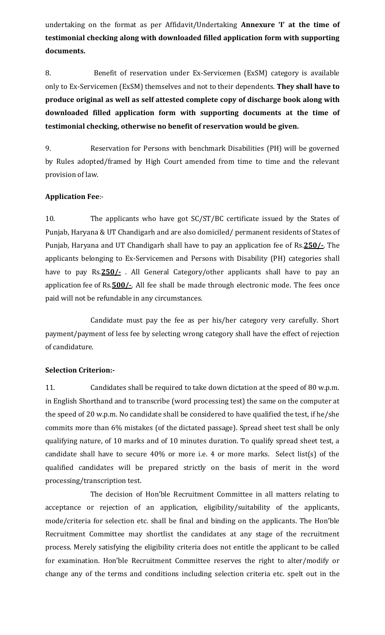undertaking on the format as per Affidavit/Undertaking **Annexure 'I' at the time of testimonial checking along with downloaded filled application form with supporting documents.**

8. Benefit of reservation under Ex-Servicemen (ExSM) category is available only to Ex-Servicemen (ExSM) themselves and not to their dependents. **They shall have to produce original as well as self attested complete copy of discharge book along with downloaded filled application form with supporting documents at the time of testimonial checking, otherwise no benefit of reservation would be given.**

9. Reservation for Persons with benchmark Disabilities (PH) will be governed by Rules adopted/framed by High Court amended from time to time and the relevant provision of law.

# **Application Fee**:-

10. The applicants who have got SC/ST/BC certificate issued by the States of Punjab, Haryana & UT Chandigarh and are also domiciled/ permanent residents of States of Punjab, Haryana and UT Chandigarh shall have to pay an application fee of Rs.**250/-**. The applicants belonging to Ex-Servicemen and Persons with Disability (PH) categories shall have to pay Rs.**250/-** . All General Category/other applicants shall have to pay an application fee of Rs.**500/-**. All fee shall be made through electronic mode. The fees once paid will not be refundable in any circumstances.

Candidate must pay the fee as per his/her category very carefully. Short payment/payment of less fee by selecting wrong category shall have the effect of rejection of candidature.

## **Selection Criterion:-**

11. Candidates shall be required to take down dictation at the speed of 80 w.p.m. in English Shorthand and to transcribe (word processing test) the same on the computer at the speed of 20 w.p.m. No candidate shall be considered to have qualified the test, if he/she commits more than 6% mistakes (of the dictated passage). Spread sheet test shall be only qualifying nature, of 10 marks and of 10 minutes duration. To qualify spread sheet test, a candidate shall have to secure 40% or more i.e. 4 or more marks. Select list(s) of the qualified candidates will be prepared strictly on the basis of merit in the word processing/transcription test.

The decision of Hon'ble Recruitment Committee in all matters relating to acceptance or rejection of an application, eligibility/suitability of the applicants, mode/criteria for selection etc. shall be final and binding on the applicants. The Hon'ble Recruitment Committee may shortlist the candidates at any stage of the recruitment process. Merely satisfying the eligibility criteria does not entitle the applicant to be called for examination. Hon'ble Recruitment Committee reserves the right to alter/modify or change any of the terms and conditions including selection criteria etc. spelt out in the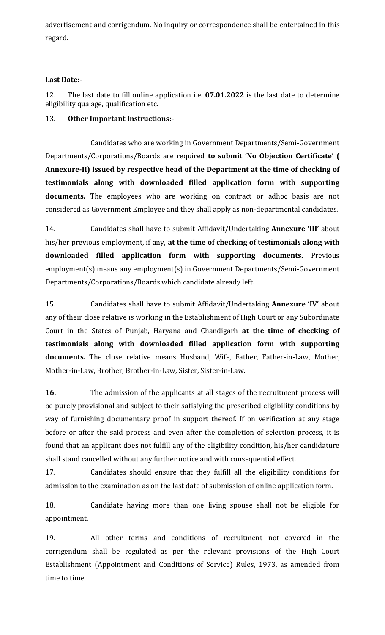advertisement and corrigendum. No inquiry or correspondence shall be entertained in this regard.

# **Last Date:-**

12. The last date to fill online application i.e. **07.01.2022** is the last date to determine eligibility qua age, qualification etc.

# 13. **Other Important Instructions:-**

Candidates who are working in Government Departments/Semi-Government Departments/Corporations/Boards are required **to submit 'No Objection Certificate' ( Annexure-II) issued by respective head of the Department at the time of checking of testimonials along with downloaded filled application form with supporting documents.** The employees who are working on contract or adhoc basis are not considered as Government Employee and they shall apply as non-departmental candidates.

14. Candidates shall have to submit Affidavit/Undertaking **Annexure 'III'** about his/her previous employment, if any, **at the time of checking of testimonials along with downloaded filled application form with supporting documents.** Previous employment(s) means any employment(s) in Government Departments/Semi-Government Departments/Corporations/Boards which candidate already left.

15. Candidates shall have to submit Affidavit/Undertaking **Annexure 'IV'** about any of their close relative is working in the Establishment of High Court or any Subordinate Court in the States of Punjab, Haryana and Chandigarh **at the time of checking of testimonials along with downloaded filled application form with supporting documents.** The close relative means Husband, Wife, Father, Father-in-Law, Mother, Mother-in-Law, Brother, Brother-in-Law, Sister, Sister-in-Law.

**16.** The admission of the applicants at all stages of the recruitment process will be purely provisional and subject to their satisfying the prescribed eligibility conditions by way of furnishing documentary proof in support thereof. If on verification at any stage before or after the said process and even after the completion of selection process, it is found that an applicant does not fulfill any of the eligibility condition, his/her candidature shall stand cancelled without any further notice and with consequential effect.

17. Candidates should ensure that they fulfill all the eligibility conditions for admission to the examination as on the last date of submission of online application form.

18. Candidate having more than one living spouse shall not be eligible for appointment.

19. All other terms and conditions of recruitment not covered in the corrigendum shall be regulated as per the relevant provisions of the High Court Establishment (Appointment and Conditions of Service) Rules, 1973, as amended from time to time.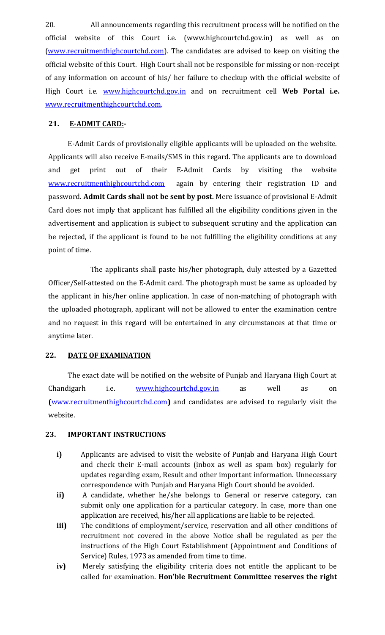20. All announcements regarding this recruitment process will be notified on the official website of this Court i.e. (www.highcourtchd.gov.in) as well as on [\(www.recruitmenthighcourtchd.com\)](http://www.recruitmenthighcourtchd.com/). The candidates are advised to keep on visiting the official website of this Court. High Court shall not be responsible for missing or non-receipt of any information on account of his/ her failure to checkup with the official website of High Court i.e. [www.highcourtchd.gov.in](http://www.highcourtchd.gov.in/) and on recruitment cell **Web Portal i.e.**  [www.recruitmenthighcourtchd.com.](http://www.recruitmenthighcourtchd.com/)

## **21. E-ADMIT CARD:-**

E-Admit Cards of provisionally eligible applicants will be uploaded on the website. Applicants will also receive E-mails/SMS in this regard. The applicants are to download and get print out of their E-Admit Cards by visiting the website [www.recruitmenthighcourtchd.com](http://www.recruitmenthighcourtchd.com/) again by entering their registration ID and password. **Admit Cards shall not be sent by post.** Mere issuance of provisional E-Admit Card does not imply that applicant has fulfilled all the eligibility conditions given in the advertisement and application is subject to subsequent scrutiny and the application can be rejected, if the applicant is found to be not fulfilling the eligibility conditions at any point of time.

The applicants shall paste his/her photograph, duly attested by a Gazetted Officer/Self-attested on the E-Admit card. The photograph must be same as uploaded by the applicant in his/her online application. In case of non-matching of photograph with the uploaded photograph, applicant will not be allowed to enter the examination centre and no request in this regard will be entertained in any circumstances at that time or anytime later.

### **22. DATE OF EXAMINATION**

The exact date will be notified on the website of Punjab and Haryana High Court at Chandigarh i.e. <u>[www.highcourtchd.gov.in](http://www.highcourtchd.gov.in/)</u> as well as on **(**[www.recruitmenthighcourtchd.com](http://www.recruitmenthighcourtchd.com/)**)** and candidates are advised to regularly visit the website.

## **23. IMPORTANT INSTRUCTIONS**

- **i)** Applicants are advised to visit the website of Punjab and Haryana High Court and check their E-mail accounts (inbox as well as spam box) regularly for updates regarding exam, Result and other important information. Unnecessary correspondence with Punjab and Haryana High Court should be avoided.
- **ii)** A candidate, whether he/she belongs to General or reserve category, can submit only one application for a particular category. In case, more than one application are received, his/her all applications are liable to be rejected.
- **iii)** The conditions of employment/service, reservation and all other conditions of recruitment not covered in the above Notice shall be regulated as per the instructions of the High Court Establishment (Appointment and Conditions of Service) Rules, 1973 as amended from time to time.
- **iv)** Merely satisfying the eligibility criteria does not entitle the applicant to be called for examination. **Hon'ble Recruitment Committee reserves the right**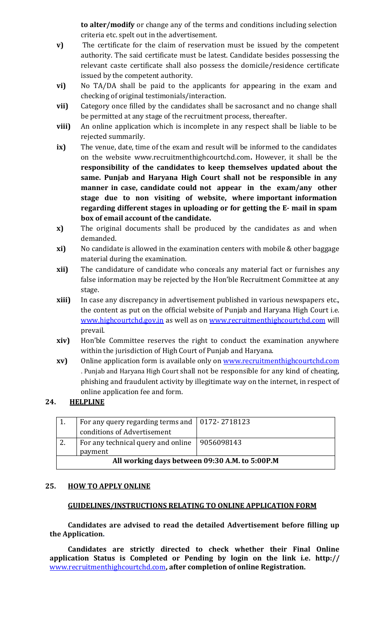**to alter/modify** or change any of the terms and conditions including selection criteria etc. spelt out in the advertisement.

- **v)** The certificate for the claim of reservation must be issued by the competent authority. The said certificate must be latest. Candidate besides possessing the relevant caste certificate shall also possess the domicile/residence certificate issued by the competent authority.
- **vi)** No TA/DA shall be paid to the applicants for appearing in the exam and checking of original testimonials/interaction.
- **vii)** Category once filled by the candidates shall be sacrosanct and no change shall be permitted at any stage of the recruitment process, thereafter.
- **viii)** An online application which is incomplete in any respect shall be liable to be rejected summarily.
- **ix)** The venue, date, time of the exam and result will be informed to the candidates on the website [www.recruitmenthighcourtchd.com](http://www.recruitmenthighcourtchd.com/)**.** However, it shall be the **responsibility of the candidates to keep themselves updated about the same. Punjab and Haryana High Court shall not be responsible in any manner in case, candidate could not appear in the exam/any other stage due to non visiting of website, where important information regarding different stages in uploading or for getting the E- mail in spam box of email account of the candidate.**
- **x)** The original documents shall be produced by the candidates as and when demanded.
- **xi)** No candidate is allowed in the examination centers with mobile & other baggage material during the examination.
- **xii)** The candidature of candidate who conceals any material fact or furnishes any false information may be rejected by the Hon'ble Recruitment Committee at any stage.
- **xiii)** In case any discrepancy in advertisement published in various newspapers etc., the content as put on the official website of Punjab and Haryana High Court i.e. [www.highcourtchd.gov.in](http://www.highcourtchd.gov.in/) as well as on [www.recruitmenthighcourtchd.com](http://www.recruitmenthighcourtchd.com/) will prevail.
- **xiv)** Hon'ble Committee reserves the right to conduct the examination anywhere within the jurisdiction of High Court of Punjab and Haryana.
- **xv)** Online application form is available only on <u>www.recruitmenthighcourtchd.com</u> . Punjab and Haryana High Court shall not be responsible for any kind of cheating, phishing and fraudulent activity by illegitimate way on the internet, in respect of online application fee and form.

## **24. HELPLINE**

|                                                | For any query regarding terms and   0172-2718123 |  |  |  |
|------------------------------------------------|--------------------------------------------------|--|--|--|
|                                                | conditions of Advertisement                      |  |  |  |
|                                                | For any technical query and online   9056098143  |  |  |  |
|                                                | payment                                          |  |  |  |
| All working days between 09:30 A.M. to 5:00P.M |                                                  |  |  |  |

### **25. HOW TO APPLY ONLINE**

### **GUIDELINES/INSTRUCTIONS RELATING TO ONLINE APPLICATION FORM**

**Candidates are advised to read the detailed Advertisement before filling up the Application.**

**Candidates are strictly directed to check whether their Final Online application Status is Completed or Pending by login on the link i.e. [http://](http://www.sssc.gov.in/candidatefinalsubmithr.aspx)** [www.recruitmenthighcourtchd.com](http://www.recruitmenthighcourtchd.com/)**, after completion of online Registration.**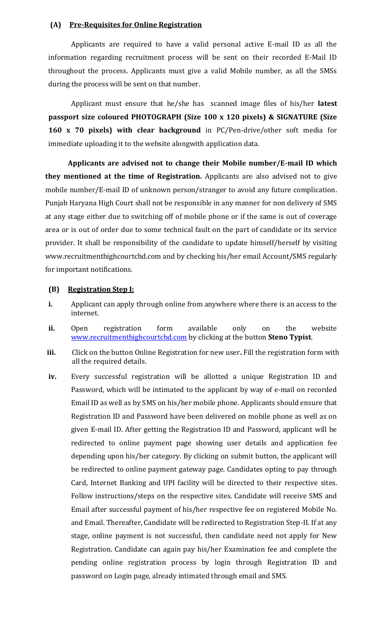## **(A) Pre-Requisites for Online Registration**

Applicants are required to have a valid personal active E-mail ID as all the information regarding recruitment process will be sent on their recorded E-Mail ID throughout the process. Applicants must give a valid Mobile number, as all the SMSs during the process will be sent on that number.

Applicant must ensure that he/she has scanned image files of his/her **latest passport size coloured PHOTOGRAPH (Size 100 x 120 pixels) & SIGNATURE (Size 160 x 70 pixels) with clear background** in PC/Pen-drive/other soft media for immediate uploading it to the website alongwith application data.

**Applicants are advised not to change their Mobile number/E-mail ID which they mentioned at the time of Registration.** Applicants are also advised not to give mobile number/E-mail ID of unknown person/stranger to avoid any future complication. Punjab Haryana High Court shall not be responsible in any manner for non delivery of SMS at any stage either due to switching off of mobile phone or if the same is out of coverage area or is out of order due to some technical fault on the part of candidate or its service provider. It shall be responsibility of the candidate to update himself/herself by visiting [www.recruitmenthighcourtchd.com](http://www.highcourtchd.gov.in/) and by checking his/her email Account/SMS regularly for important notifications.

#### **(B) Registration Step I:**

- **i.** Applicant can apply through online from anywhere where there is an access to the internet.
- **ii.** Open registration form available only on the website [www.recruitmenthighcourtchd.com](http://www.recruitmenthighcourtchd.com/) by clicking at the button **Steno Typist**.
- **iii.** Click on the button Online Registration for new user**.** Fill the registration form with all the required details.
- **iv.** Every successful registration will be allotted a unique Registration ID and Password, which will be intimated to the applicant by way of e-mail on recorded Email ID as well as by SMS on his/her mobile phone. Applicants should ensure that Registration ID and Password have been delivered on mobile phone as well as on given E-mail ID. After getting the Registration ID and Password, applicant will be redirected to online payment page showing user details and application fee depending upon his/her category. By clicking on submit button, the applicant will be redirected to online payment gateway page. Candidates opting to pay through Card, Internet Banking and UPI facility will be directed to their respective sites. Follow instructions/steps on the respective sites. Candidate will receive SMS and Email after successful payment of his/her respective fee on registered Mobile No. and Email. Thereafter, Candidate will be redirected to Registration Step-II. If at any stage, online payment is not successful, then candidate need not apply for New Registration. Candidate can again pay his/her Examination fee and complete the pending online registration process by login through Registration ID and password on Login page, already intimated through email and SMS.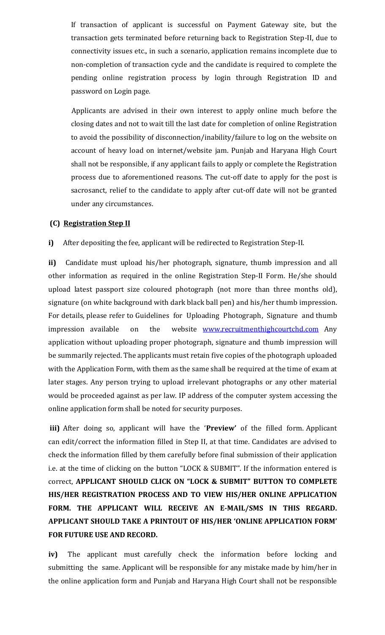If transaction of applicant is successful on Payment Gateway site, but the transaction gets terminated before returning back to Registration Step-II, due to connectivity issues etc., in such a scenario, application remains incomplete due to non‐completion of transaction cycle and the candidate is required to complete the pending online registration process by login through Registration ID and password on Login page.

 Applicants are advised in their own interest to apply online much before the closing dates and not to wait till the last date for completion of online Registration to avoid the possibility of disconnection/inability/failure to log on the website on account of heavy load on internet/website jam. Punjab and Haryana High Court shall not be responsible, if any applicant fails to apply or complete the Registration process due to aforementioned reasons. The cut-off date to apply for the post is sacrosanct, relief to the candidate to apply after cut-off date will not be granted under any circumstances.

## **(C) Registration Step II**

**i)** After depositing the fee, applicant will be redirected to Registration Step-II.

**ii)** Candidate must upload his/her photograph, signature, thumb impression and all other information as required in the online Registration Step-II Form. He/she should upload latest passport size coloured photograph (not more than three months old), signature (on white background with dark black ball pen) and his/her thumb impression. For details, please refer to Guidelines for Uploading Photograph, Signature and thumb impression available on the website **[www.recruitmenthighcourtchd.com](http://www.recruitmenthighcourtchd.com/)** Any application without uploading proper photograph, signature and thumb impression will be summarily rejected. The applicants must retain five copies of the photograph uploaded with the Application Form, with them as the same shall be required at the time of exam at later stages. Any person trying to upload irrelevant photographs or any other material would be proceeded against as per law. IP address of the computer system accessing the online application form shall be noted for security purposes.

**iii)** After doing so, applicant will have the '**Preview'** of the filled form. Applicant can edit/correct the information filled in Step II, at that time. Candidates are advised to check the information filled by them carefully before final submission of their application i.e. at the time of clicking on the button "LOCK & SUBMIT". If the information entered is correct, **APPLICANT SHOULD CLICK ON "LOCK & SUBMIT" BUTTON TO COMPLETE HIS/HER REGISTRATION PROCESS AND TO VIEW HIS/HER ONLINE APPLICATION FORM. THE APPLICANT WILL RECEIVE AN E-MAIL/SMS IN THIS REGARD. APPLICANT SHOULD TAKE A PRINTOUT OF HIS/HER 'ONLINE APPLICATION FORM' FOR FUTURE USE AND RECORD.**

**iv)** The applicant must carefully check the information before locking and submitting the same. Applicant will be responsible for any mistake made by him/her in the online application form and Punjab and Haryana High Court shall not be responsible